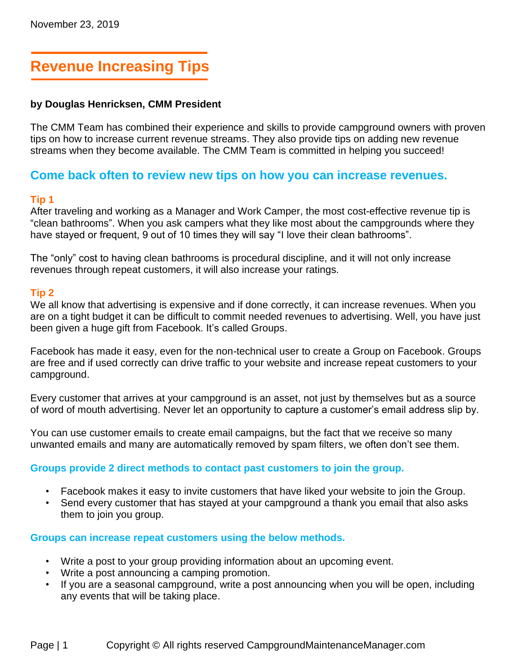# **Revenue Increasing Tips**

#### **by Douglas Henricksen, CMM President**

The CMM Team has combined their experience and skills to provide campground owners with proven tips on how to increase current revenue streams. They also provide tips on adding new revenue streams when they become available. The CMM Team is committed in helping you succeed!

## **Come back often to review new tips on how you can increase revenues.**

#### **Tip 1**

After traveling and working as a Manager and Work Camper, the most cost-effective revenue tip is "clean bathrooms". When you ask campers what they like most about the campgrounds where they have stayed or frequent, 9 out of 10 times they will say "I love their clean bathrooms".

The "only" cost to having clean bathrooms is procedural discipline, and it will not only increase revenues through repeat customers, it will also increase your ratings.

#### **Tip 2**

We all know that advertising is expensive and if done correctly, it can increase revenues. When you are on a tight budget it can be difficult to commit needed revenues to advertising. Well, you have just been given a huge gift from Facebook. It's called Groups.

Facebook has made it easy, even for the non-technical user to create a Group on Facebook. Groups are free and if used correctly can drive traffic to your website and increase repeat customers to your campground.

Every customer that arrives at your campground is an asset, not just by themselves but as a source of word of mouth advertising. Never let an opportunity to capture a customer's email address slip by.

You can use customer emails to create email campaigns, but the fact that we receive so many unwanted emails and many are automatically removed by spam filters, we often don't see them.

#### **Groups provide 2 direct methods to contact past customers to join the group.**

- Facebook makes it easy to invite customers that have liked your website to join the Group.
- Send every customer that has stayed at your campground a thank you email that also asks them to join you group.

#### **Groups can increase repeat customers using the below methods.**

- Write a post to your group providing information about an upcoming event.
- Write a post announcing a camping promotion.
- If you are a seasonal campground, write a post announcing when you will be open, including any events that will be taking place.